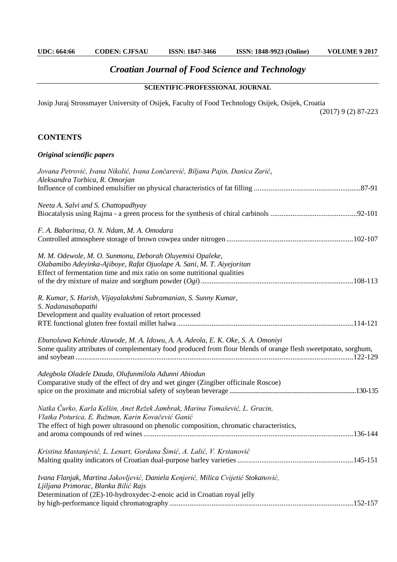## *Croatian Journal of Food Science and Technology*

## **SCIENTIFIC-PROFESSIONAL JOURNAL**

Josip Juraj Strossmayer University of Osijek, Faculty of Food Technology Osijek, Osijek, Croatia

(2017) 9 (2) 87-223

## **CONTENTS**

## *Original scientific papers*

| Jovana Petrović, Ivana Nikolić, Ivana Lončarević, Biljana Pajin, Danica Zarić,<br>Aleksandra Torbica, R. Omorjan                                                                                                            |
|-----------------------------------------------------------------------------------------------------------------------------------------------------------------------------------------------------------------------------|
| Neeta A. Salvi and S. Chattopadhyay                                                                                                                                                                                         |
| F. A. Babarinsa, O. N. Ndam, M. A. Omodara                                                                                                                                                                                  |
| M. M. Odewole, M. O. Sunmonu, Deborah Oluyemisi Opaleke,<br>Olabamibo Adeyinka-Ajiboye, Rafat Ojuolape A. Sani, M. T. Aiyejoritan<br>Effect of fermentation time and mix ratio on some nutritional qualities                |
| R. Kumar, S. Harish, Vijayalakshmi Subramanian, S. Sunny Kumar,<br>S. Nadanasabapathi<br>Development and quality evaluation of retort processed                                                                             |
| Ebunoluwa Kehinde Alawode, M. A. Idowu, A. A. Adeola, E. K. Oke, S. A. Omoniyi<br>Some quality attributes of complementary food produced from flour blends of orange flesh sweetpotato, sorghum,                            |
| Adegbola Oladele Dauda, Olufunmilola Adunni Abiodun<br>Comparative study of the effect of dry and wet ginger (Zingiber officinale Roscoe)                                                                                   |
| Natka Ćurko, Karla Kelšin, Anet Režek Jambrak, Marina Tomašević, L. Gracin,<br>Vlatka Poturica, E. Ružman, Karin Kovačević Ganić<br>The effect of high power ultrasound on phenolic composition, chromatic characteristics, |
| Kristina Mastanjević, L. Lenart, Gordana Šimić, A. Lalić, V. Krstanović                                                                                                                                                     |
| Ivana Flanjak, Martina Jakovljević, Daniela Kenjerić, Milica Cvijetić Stokanović,<br>Ljiljana Primorac, Blanka Bilić Rajs<br>Determination of (2E)-10-hydroxydec-2-enoic acid in Croatian royal jelly                       |